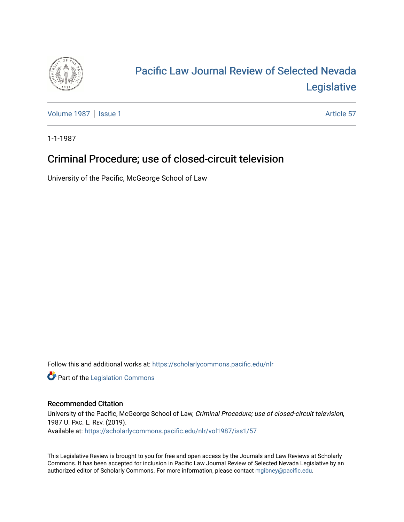

# [Pacific Law Journal Review of Selected Nevada](https://scholarlycommons.pacific.edu/nlr)  [Legislative](https://scholarlycommons.pacific.edu/nlr)

[Volume 1987](https://scholarlycommons.pacific.edu/nlr/vol1987) | [Issue 1](https://scholarlycommons.pacific.edu/nlr/vol1987/iss1) Article 57

1-1-1987

# Criminal Procedure; use of closed-circuit television

University of the Pacific, McGeorge School of Law

Follow this and additional works at: [https://scholarlycommons.pacific.edu/nlr](https://scholarlycommons.pacific.edu/nlr?utm_source=scholarlycommons.pacific.edu%2Fnlr%2Fvol1987%2Fiss1%2F57&utm_medium=PDF&utm_campaign=PDFCoverPages) 

**Part of the [Legislation Commons](http://network.bepress.com/hgg/discipline/859?utm_source=scholarlycommons.pacific.edu%2Fnlr%2Fvol1987%2Fiss1%2F57&utm_medium=PDF&utm_campaign=PDFCoverPages)** 

## Recommended Citation

University of the Pacific, McGeorge School of Law, Criminal Procedure; use of closed-circuit television, 1987 U. PAC. L. REV. (2019). Available at: [https://scholarlycommons.pacific.edu/nlr/vol1987/iss1/57](https://scholarlycommons.pacific.edu/nlr/vol1987/iss1/57?utm_source=scholarlycommons.pacific.edu%2Fnlr%2Fvol1987%2Fiss1%2F57&utm_medium=PDF&utm_campaign=PDFCoverPages)

This Legislative Review is brought to you for free and open access by the Journals and Law Reviews at Scholarly Commons. It has been accepted for inclusion in Pacific Law Journal Review of Selected Nevada Legislative by an authorized editor of Scholarly Commons. For more information, please contact [mgibney@pacific.edu](mailto:mgibney@pacific.edu).